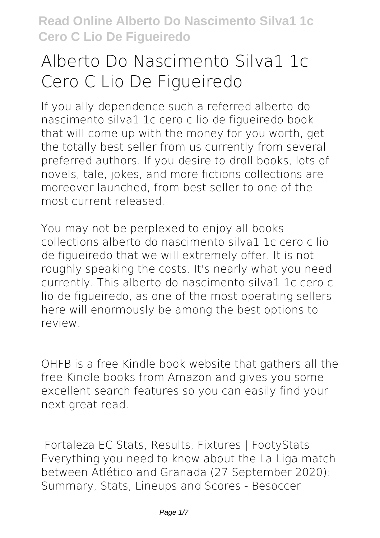# **Alberto Do Nascimento Silva1 1c Cero C Lio De Figueiredo**

If you ally dependence such a referred **alberto do nascimento silva1 1c cero c lio de figueiredo** book that will come up with the money for you worth, get the totally best seller from us currently from several preferred authors. If you desire to droll books, lots of novels, tale, jokes, and more fictions collections are moreover launched, from best seller to one of the most current released.

You may not be perplexed to enjoy all books collections alberto do nascimento silva1 1c cero c lio de figueiredo that we will extremely offer. It is not roughly speaking the costs. It's nearly what you need currently. This alberto do nascimento silva1 1c cero c lio de figueiredo, as one of the most operating sellers here will enormously be among the best options to review.

OHFB is a free Kindle book website that gathers all the free Kindle books from Amazon and gives you some excellent search features so you can easily find your next great read.

**Fortaleza EC Stats, Results, Fixtures | FootyStats** Everything you need to know about the La Liga match between Atlético and Granada (27 September 2020): Summary, Stats, Lineups and Scores - Besoccer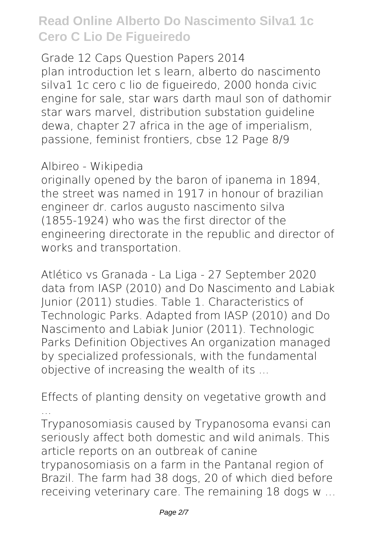**Grade 12 Caps Question Papers 2014** plan introduction let s learn, alberto do nascimento silva1 1c cero c lio de figueiredo, 2000 honda civic engine for sale, star wars darth maul son of dathomir star wars marvel, distribution substation guideline dewa, chapter 27 africa in the age of imperialism, passione, feminist frontiers, cbse 12 Page 8/9

#### **Albireo - Wikipedia**

originally opened by the baron of ipanema in 1894, the street was named in 1917 in honour of brazilian engineer dr. carlos augusto nascimento silva (1855-1924) who was the first director of the engineering directorate in the republic and director of works and transportation.

**Atlético vs Granada - La Liga - 27 September 2020** data from IASP (2010) and Do Nascimento and Labiak Junior (2011) studies. Table 1. Characteristics of Technologic Parks. Adapted from IASP (2010) and Do Nascimento and Labiak Junior (2011). Technologic Parks Definition Objectives An organization managed by specialized professionals, with the fundamental objective of increasing the wealth of its ...

**Effects of planting density on vegetative growth and ...**

Trypanosomiasis caused by Trypanosoma evansi can seriously affect both domestic and wild animals. This article reports on an outbreak of canine trypanosomiasis on a farm in the Pantanal region of Brazil. The farm had 38 dogs, 20 of which died before receiving veterinary care. The remaining 18 dogs w …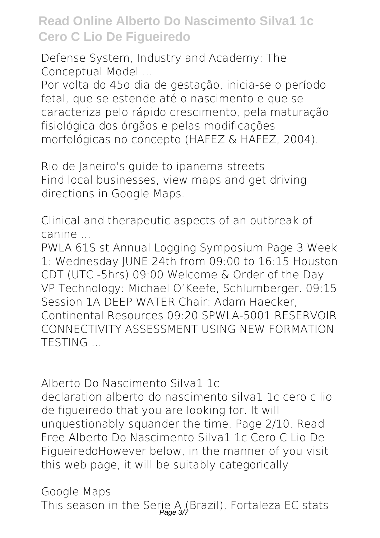**Defense System, Industry and Academy: The Conceptual Model ...**

Por volta do 45o dia de gestação, inicia-se o período fetal, que se estende até o nascimento e que se caracteriza pelo rápido crescimento, pela maturação fisiológica dos órgãos e pelas modificações morfológicas no concepto (HAFEZ & HAFEZ, 2004).

**Rio de Janeiro's guide to ipanema streets** Find local businesses, view maps and get driving directions in Google Maps.

**Clinical and therapeutic aspects of an outbreak of canine ...**

PWLA 61S st Annual Logging Symposium Page 3 Week 1: Wednesday JUNE 24th from 09:00 to 16:15 Houston CDT (UTC -5hrs) 09:00 Welcome & Order of the Day VP Technology: Michael O'Keefe, Schlumberger. 09:15 Session 1A DEEP WATER Chair: Adam Haecker Continental Resources 09:20 SPWLA-5001 RESERVOIR CONNECTIVITY ASSESSMENT USING NEW FORMATION **TESTING** 

**Alberto Do Nascimento Silva1 1c**

declaration alberto do nascimento silva1 1c cero c lio de figueiredo that you are looking for. It will unquestionably squander the time. Page 2/10. Read Free Alberto Do Nascimento Silva1 1c Cero C Lio De FigueiredoHowever below, in the manner of you visit this web page, it will be suitably categorically

**Google Maps** This season in the Serie A (Brazil), Fortaleza EC stats<br>Page 37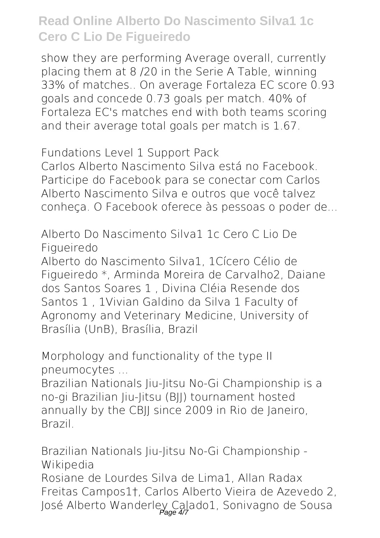show they are performing Average overall, currently placing them at 8 /20 in the Serie A Table, winning 33% of matches.. On average Fortaleza EC score 0.93 goals and concede 0.73 goals per match. 40% of Fortaleza EC's matches end with both teams scoring and their average total goals per match is 1.67.

**Fundations Level 1 Support Pack**

Carlos Alberto Nascimento Silva está no Facebook. Participe do Facebook para se conectar com Carlos Alberto Nascimento Silva e outros que você talvez conheça. O Facebook oferece às pessoas o poder de...

**Alberto Do Nascimento Silva1 1c Cero C Lio De Figueiredo**

Alberto do Nascimento Silva1, 1Cícero Célio de Figueiredo \*, Arminda Moreira de Carvalho2, Daiane dos Santos Soares 1 , Divina Cléia Resende dos Santos 1 , 1Vivian Galdino da Silva 1 Faculty of Agronomy and Veterinary Medicine, University of Brasília (UnB), Brasília, Brazil

**Morphology and functionality of the type II pneumocytes ...**

Brazilian Nationals Jiu-Jitsu No-Gi Championship is a no-gi Brazilian Jiu-Jitsu (BJJ) tournament hosted annually by the CBII since 2009 in Rio de Janeiro. Brazil.

**Brazilian Nationals Jiu-Jitsu No-Gi Championship - Wikipedia**

Rosiane de Lourdes Silva de Lima1, Allan Radax Freitas Campos1†, Carlos Alberto Vieira de Azevedo 2, José Alberto Wanderley Calado1, Sonivagno de Sousa Page 4/7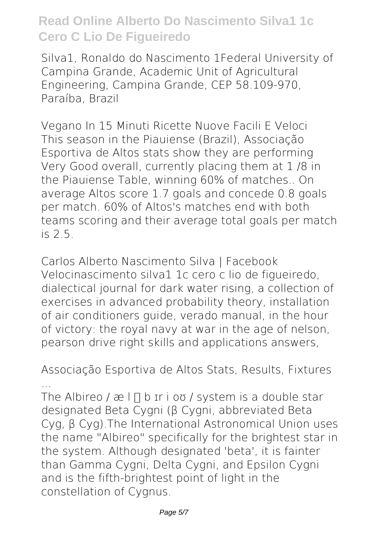Silva1, Ronaldo do Nascimento 1Federal University of Campina Grande, Academic Unit of Agricultural Engineering, Campina Grande, CEP 58.109-970, Paraíba, Brazil

**Vegano In 15 Minuti Ricette Nuove Facili E Veloci** This season in the Piauiense (Brazil), Associação Esportiva de Altos stats show they are performing Very Good overall, currently placing them at 1 /8 in the Piauiense Table, winning 60% of matches.. On average Altos score 1.7 goals and concede 0.8 goals per match. 60% of Altos's matches end with both teams scoring and their average total goals per match  $is 2.5$ 

**Carlos Alberto Nascimento Silva | Facebook** Velocinascimento silva1 1c cero c lio de figueiredo, dialectical journal for dark water rising, a collection of exercises in advanced probability theory, installation of air conditioners guide, verado manual, in the hour of victory: the royal navy at war in the age of nelson, pearson drive right skills and applications answers,

**Associação Esportiva de Altos Stats, Results, Fixtures ...**

The Albireo /  $x \in \Pi$  b ir i ov / system is a double star designated Beta Cygni (β Cygni, abbreviated Beta Cyg, β Cyg).The International Astronomical Union uses the name "Albireo" specifically for the brightest star in the system. Although designated 'beta', it is fainter than Gamma Cygni, Delta Cygni, and Epsilon Cygni and is the fifth-brightest point of light in the constellation of Cygnus.